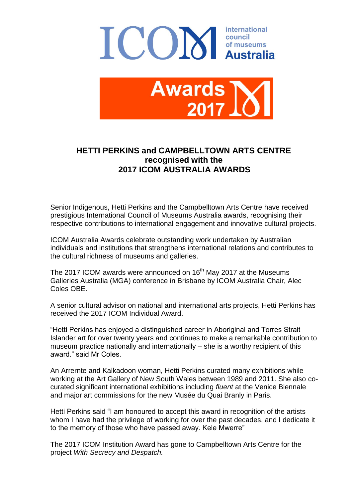



## **HETTI PERKINS and CAMPBELLTOWN ARTS CENTRE recognised with the 2017 ICOM AUSTRALIA AWARDS**

Senior Indigenous, Hetti Perkins and the Campbelltown Arts Centre have received prestigious International Council of Museums Australia awards, recognising their respective contributions to international engagement and innovative cultural projects.

ICOM Australia Awards celebrate outstanding work undertaken by Australian individuals and institutions that strengthens international relations and contributes to the cultural richness of museums and galleries.

The 2017 ICOM awards were announced on 16<sup>th</sup> May 2017 at the Museums Galleries Australia (MGA) conference in Brisbane by ICOM Australia Chair, Alec Coles OBE.

A senior cultural advisor on national and international arts projects, Hetti Perkins has received the 2017 ICOM Individual Award.

"Hetti Perkins has enjoyed a distinguished career in Aboriginal and Torres Strait Islander art for over twenty years and continues to make a remarkable contribution to museum practice nationally and internationally – she is a worthy recipient of this award." said Mr Coles.

An Arrernte and Kalkadoon woman, Hetti Perkins curated many exhibitions while working at the Art Gallery of New South Wales between 1989 and 2011. She also cocurated significant international exhibitions including *fluent* at the Venice Biennale and major art commissions for the new Musée du Quai Branly in Paris.

Hetti Perkins said "I am honoured to accept this award in recognition of the artists whom I have had the privilege of working for over the past decades, and I dedicate it to the memory of those who have passed away. Kele Mwerre"

The 2017 ICOM Institution Award has gone to Campbelltown Arts Centre for the project *With Secrecy and Despatch.*